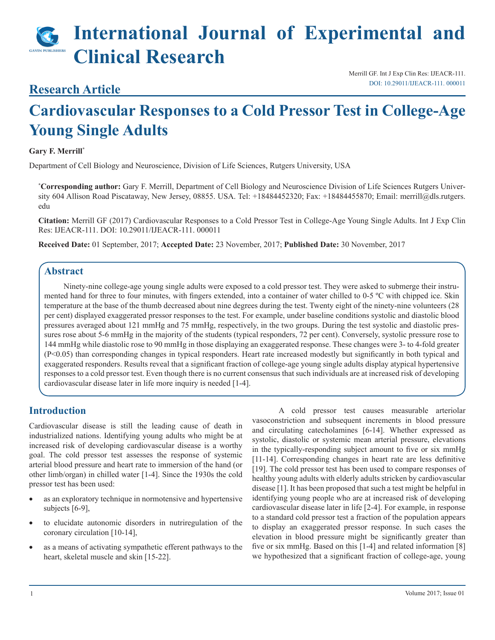# **International Journal of Experimental and Clinical Research**

# **Research Article**

Merrill GF. Int J Exp Clin Res: IJEACR-111. [DOI: 10.29011/IJEACR-111. 000011](http://10.29011/IJEACR-111. 000011)

# **Cardiovascular Responses to a Cold Pressor Test in College-Age Young Single Adults**

#### **Gary F. Merrill\***

Department of Cell Biology and Neuroscience, Division of Life Sciences, Rutgers University, USA

**\* Corresponding author:** Gary F. Merrill, Department of Cell Biology and Neuroscience Division of Life Sciences Rutgers University 604 Allison Road Piscataway, New Jersey, 08855. USA. Tel: +18484452320; Fax: +18484455870; Email: merrill@dls.rutgers. edu

**Citation:** Merrill GF (2017) Cardiovascular Responses to a Cold Pressor Test in College-Age Young Single Adults. Int J Exp Clin Res: IJEACR-111. DOI: 10.29011/IJEACR-111. 000011

**Received Date:** 01 September, 2017; **Accepted Date:** 23 November, 2017; **Published Date:** 30 November, 2017

#### **Abstract**

Ninety-nine college-age young single adults were exposed to a cold pressor test. They were asked to submerge their instrumented hand for three to four minutes, with fingers extended, into a container of water chilled to 0-5 ºC with chipped ice. Skin temperature at the base of the thumb decreased about nine degrees during the test. Twenty eight of the ninety-nine volunteers (28 per cent) displayed exaggerated pressor responses to the test. For example, under baseline conditions systolic and diastolic blood pressures averaged about 121 mmHg and 75 mmHg, respectively, in the two groups. During the test systolic and diastolic pressures rose about 5-6 mmHg in the majority of the students (typical responders, 72 per cent). Conversely, systolic pressure rose to 144 mmHg while diastolic rose to 90 mmHg in those displaying an exaggerated response. These changes were 3- to 4-fold greater (P<0.05) than corresponding changes in typical responders. Heart rate increased modestly but significantly in both typical and exaggerated responders. Results reveal that a significant fraction of college-age young single adults display atypical hypertensive responses to a cold pressor test. Even though there is no current consensus that such individuals are at increased risk of developing cardiovascular disease later in life more inquiry is needed [1-4].

### **Introduction**

Cardiovascular disease is still the leading cause of death in industrialized nations. Identifying young adults who might be at increased risk of developing cardiovascular disease is a worthy goal. The cold pressor test assesses the response of systemic arterial blood pressure and heart rate to immersion of the hand (or other limb/organ) in chilled water [1-4]. Since the 1930s the cold pressor test has been used:

- as an exploratory technique in normotensive and hypertensive subjects [6-9],
- to elucidate autonomic disorders in nutriregulation of the coronary circulation [10-14],
- as a means of activating sympathetic efferent pathways to the heart, skeletal muscle and skin [15-22].

 A cold pressor test causes measurable arteriolar vasoconstriction and subsequent increments in blood pressure and circulating catecholamines [6-14]. Whether expressed as systolic, diastolic or systemic mean arterial pressure, elevations in the typically-responding subject amount to five or six mmHg [11-14]. Corresponding changes in heart rate are less definitive [19]. The cold pressor test has been used to compare responses of healthy young adults with elderly adults stricken by cardiovascular disease [1]. It has been proposed that such a test might be helpful in identifying young people who are at increased risk of developing cardiovascular disease later in life [2-4]. For example, in response to a standard cold pressor test a fraction of the population appears to display an exaggerated pressor response. In such cases the elevation in blood pressure might be significantly greater than five or six mmHg. Based on this [1-4] and related information [8] we hypothesized that a significant fraction of college-age, young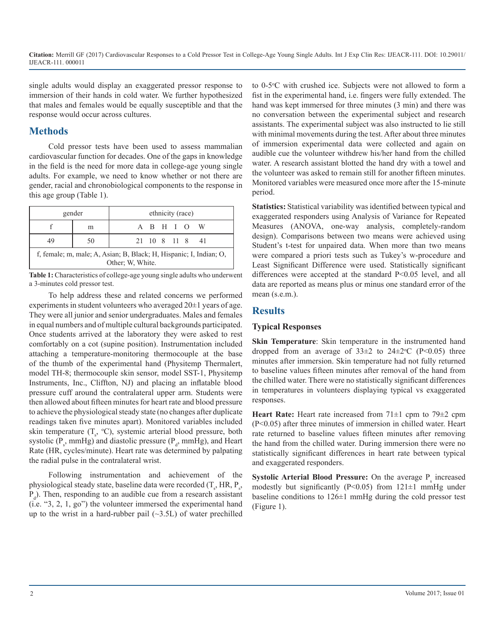single adults would display an exaggerated pressor response to immersion of their hands in cold water. We further hypothesized that males and females would be equally susceptible and that the response would occur across cultures.

# **Methods**

Cold pressor tests have been used to assess mammalian cardiovascular function for decades. One of the gaps in knowledge in the field is the need for more data in college-age young single adults. For example, we need to know whether or not there are gender, racial and chronobiological components to the response in this age group (Table 1).

| gender                                                                                 |    | ethnicity (race) |  |  |  |             |                 |
|----------------------------------------------------------------------------------------|----|------------------|--|--|--|-------------|-----------------|
|                                                                                        | m  |                  |  |  |  | A B H I O W |                 |
| 49                                                                                     | 50 |                  |  |  |  |             | 21 10 8 11 8 41 |
| f, female; m, male; A, Asian; B, Black; H, Hispanic; I, Indian; O,<br>Other: W. White. |    |                  |  |  |  |             |                 |

**Table 1:** Characteristics of college-age young single adults who underwent a 3-minutes cold pressor test.

To help address these and related concerns we performed experiments in student volunteers who averaged 20±1 years of age. They were all junior and senior undergraduates. Males and females in equal numbers and of multiple cultural backgrounds participated. Once students arrived at the laboratory they were asked to rest comfortably on a cot (supine position). Instrumentation included attaching a temperature-monitoring thermocouple at the base of the thumb of the experimental hand (Physitemp Thermalert, model TH-8; thermocouple skin sensor, model SST-1, Physitemp Instruments, Inc., Cliffton, NJ) and placing an inflatable blood pressure cuff around the contralateral upper arm. Students were then allowed about fifteen minutes for heart rate and blood pressure to achieve the physiological steady state (no changes after duplicate readings taken five minutes apart). Monitored variables included skin temperature  $(T_{s}$ , °C), systemic arterial blood pressure, both systolic ( $P_s$ , mmHg) and diastolic pressure ( $P_d$ , mmHg), and Heart Rate (HR, cycles/minute). Heart rate was determined by palpating the radial pulse in the contralateral wrist.

Following instrumentation and achievement of the physiological steady state, baseline data were recorded  $(T_s, HR, P_s,$  $P_d$ ). Then, responding to an audible cue from a research assistant (i.e. "3, 2, 1, go") the volunteer immersed the experimental hand up to the wrist in a hard-rubber pail  $(\sim 3.5L)$  of water prechilled

to 0-5°C with crushed ice. Subjects were not allowed to form a fist in the experimental hand, i.e. fingers were fully extended. The hand was kept immersed for three minutes (3 min) and there was no conversation between the experimental subject and research assistants. The experimental subject was also instructed to lie still with minimal movements during the test. After about three minutes of immersion experimental data were collected and again on audible cue the volunteer withdrew his/her hand from the chilled water. A research assistant blotted the hand dry with a towel and the volunteer was asked to remain still for another fifteen minutes. Monitored variables were measured once more after the 15-minute period.

**Statistics:** Statistical variability was identified between typical and exaggerated responders using Analysis of Variance for Repeated Measures (ANOVA, one-way analysis, completely-random design). Comparisons between two means were achieved using Student's t-test for unpaired data. When more than two means were compared a priori tests such as Tukey's w-procedure and Least Significant Difference were used. Statistically significant differences were accepted at the standard P<0.05 level, and all data are reported as means plus or minus one standard error of the mean (s.e.m.).

# **Results**

#### **Typical Responses**

**Skin Temperature**: Skin temperature in the instrumented hand dropped from an average of  $33\pm2$  to  $24\pm2$ °C (P<0.05) three minutes after immersion. Skin temperature had not fully returned to baseline values fifteen minutes after removal of the hand from the chilled water. There were no statistically significant differences in temperatures in volunteers displaying typical vs exaggerated responses.

**Heart Rate:** Heart rate increased from 71±1 cpm to 79±2 cpm (P<0.05) after three minutes of immersion in chilled water. Heart rate returned to baseline values fifteen minutes after removing the hand from the chilled water. During immersion there were no statistically significant differences in heart rate between typical and exaggerated responders.

**Systolic Arterial Blood Pressure:** On the average P<sub>s</sub> increased modestly but significantly (P<0.05) from  $121 \pm 1$  mmHg under baseline conditions to  $126\pm1$  mmHg during the cold pressor test (Figure 1).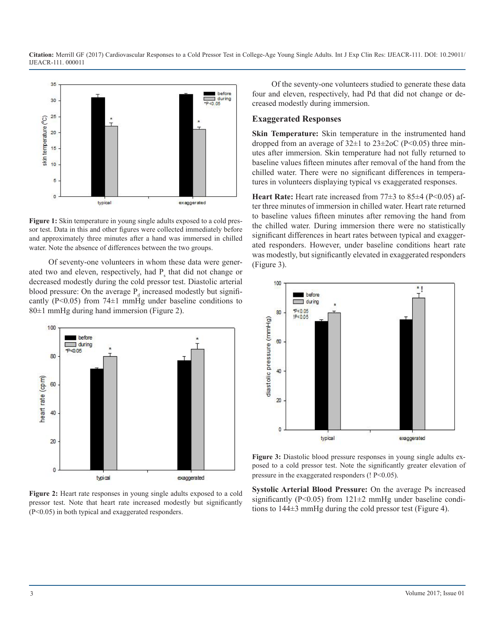

Figure 1: Skin temperature in young single adults exposed to a cold pressor test. Data in this and other figures were collected immediately before and approximately three minutes after a hand was immersed in chilled water. Note the absence of differences between the two groups.

Of seventy-one volunteers in whom these data were generated two and eleven, respectively, had  $P_s$  that did not change or decreased modestly during the cold pressor test. Diastolic arterial blood pressure: On the average  $P_d$  increased modestly but significantly (P<0.05) from 74 $\pm$ 1 mmHg under baseline conditions to 80±1 mmHg during hand immersion (Figure 2).



**Figure 2:** Heart rate responses in young single adults exposed to a cold pressor test. Note that heart rate increased modestly but significantly (P<0.05) in both typical and exaggerated responders.

Of the seventy-one volunteers studied to generate these data four and eleven, respectively, had Pd that did not change or decreased modestly during immersion.

#### **Exaggerated Responses**

**Skin Temperature:** Skin temperature in the instrumented hand dropped from an average of  $32\pm1$  to  $23\pm2$  oC (P<0.05) three minutes after immersion. Skin temperature had not fully returned to baseline values fifteen minutes after removal of the hand from the chilled water. There were no significant differences in temperatures in volunteers displaying typical vs exaggerated responses.

**Heart Rate:** Heart rate increased from 77±3 to 85±4 (P<0.05) after three minutes of immersion in chilled water. Heart rate returned to baseline values fifteen minutes after removing the hand from the chilled water. During immersion there were no statistically significant differences in heart rates between typical and exaggerated responders. However, under baseline conditions heart rate was modestly, but significantly elevated in exaggerated responders (Figure 3).



**Figure 3:** Diastolic blood pressure responses in young single adults exposed to a cold pressor test. Note the significantly greater elevation of pressure in the exaggerated responders (! P<0.05).

**Systolic Arterial Blood Pressure:** On the average Ps increased significantly ( $P \le 0.05$ ) from 121 $\pm 2$  mmHg under baseline conditions to 144±3 mmHg during the cold pressor test (Figure 4).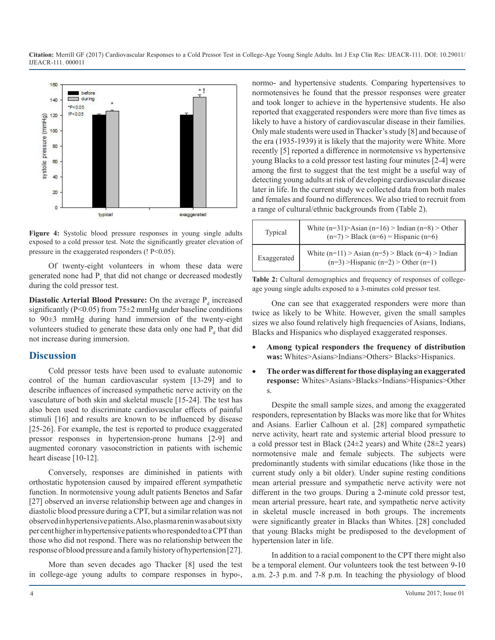

**Figure 4:** Systolic blood pressure responses in young single adults exposed to a cold pressor test. Note the significantly greater elevation of pressure in the exaggerated responders (! P<0.05).

Of twenty-eight volunteers in whom these data were generated none had  $P_s$  that did not change or decreased modestly during the cold pressor test.

**Diastolic Arterial Blood Pressure:** On the average P<sub>d</sub> increased significantly ( $P<0.05$ ) from 75 $\pm$ 2 mmHg under baseline conditions to 90±3 mmHg during hand immersion of the twenty-eight volunteers studied to generate these data only one had  $P_d$  that did not increase during immersion.

#### **Discussion**

Cold pressor tests have been used to evaluate autonomic control of the human cardiovascular system [13-29] and to describe influences of increased sympathetic nerve activity on the vasculature of both skin and skeletal muscle [15-24]. The test has also been used to discriminate cardiovascular effects of painful stimuli [16] and results are known to be influenced by disease [25-26]. For example, the test is reported to produce exaggerated pressor responses in hypertension-prone humans [2-9] and augmented coronary vasoconstriction in patients with ischemic heart disease [10-12].

Conversely, responses are diminished in patients with orthostatic hypotension caused by impaired efferent sympathetic function. In normotensive young adult patients Benetos and Safar [27] observed an inverse relationship between age and changes in diastolic blood pressure during a CPT, but a similar relation was not observed in hypertensive patients. Also, plasma renin was about sixty per cent higher in hypertensive patients who responded to a CPT than those who did not respond. There was no relationship between the response of blood pressure and a family history of hypertension [27].

More than seven decades ago Thacker [8] used the test in college-age young adults to compare responses in hypo-,

normo- and hypertensive students. Comparing hypertensives to normotensives he found that the pressor responses were greater and took longer to achieve in the hypertensive students. He also reported that exaggerated responders were more than five times as likely to have a history of cardiovascular disease in their families. Only male students were used in Thacker's study [8] and because of the era (1935-1939) it is likely that the majority were White. More recently [5] reported a difference in normotensive vs hypertensive young Blacks to a cold pressor test lasting four minutes [2-4] were among the first to suggest that the test might be a useful way of detecting young adults at risk of developing cardiovascular disease later in life. In the current study we collected data from both males and females and found no differences. We also tried to recruit from a range of cultural/ethnic backgrounds from (Table 2).

| Typical     | White $(n=31)$ >Asian $(n=16)$ >Indian $(n=8)$ >Other<br>$(n=7)$ > Black $(n=6)$ = Hispanic $(n=6)$  |
|-------------|------------------------------------------------------------------------------------------------------|
| Exaggerated | White $(n=11)$ > Asian $(n=5)$ > Black $(n=4)$ > Indian<br>$(n=3)$ >Hispanic $(n=2)$ > Other $(n=1)$ |

**Table 2:** Cultural demographics and frequency of responses of collegeage young single adults exposed to a 3-minutes cold pressor test.

One can see that exaggerated responders were more than twice as likely to be White. However, given the small samples sizes we also found relatively high frequencies of Asians, Indians, Blacks and Hispanics who displayed exaggerated responses.

- • **Among typical responders the frequency of distribution was:** Whites>Asians>Indians>Others> Blacks>Hispanics.
- • **The order was different for those displaying an exaggerated response:** Whites>Asians>Blacks>Indians>Hispanics>Other s.

Despite the small sample sizes, and among the exaggerated responders, representation by Blacks was more like that for Whites and Asians. Earlier Calhoun et al. [28] compared sympathetic nerve activity, heart rate and systemic arterial blood pressure to a cold pressor test in Black (24±2 years) and White (28±2 years) normotensive male and female subjects. The subjects were predominantly students with similar educations (like those in the current study only a bit older). Under supine resting conditions mean arterial pressure and sympathetic nerve activity were not different in the two groups. During a 2-minute cold pressor test, mean arterial pressure, heart rate, and sympathetic nerve activity in skeletal muscle increased in both groups. The increments were significantly greater in Blacks than Whites. [28] concluded that young Blacks might be predisposed to the development of hypertension later in life.

In addition to a racial component to the CPT there might also be a temporal element. Our volunteers took the test between 9-10 a.m. 2-3 p.m. and 7-8 p.m. In teaching the physiology of blood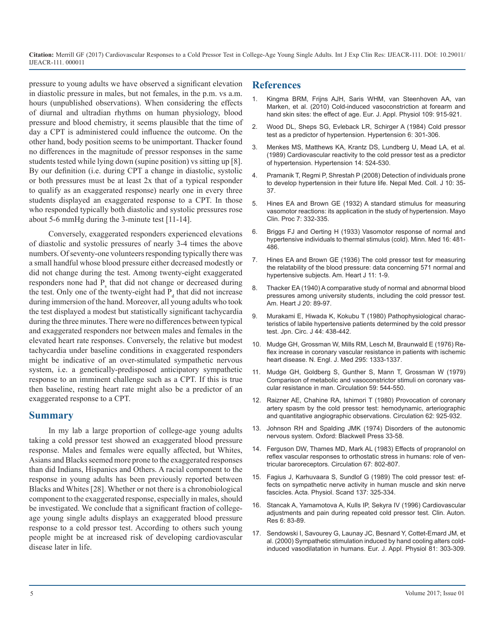pressure to young adults we have observed a significant elevation in diastolic pressure in males, but not females, in the p.m. vs a.m. hours (unpublished observations). When considering the effects of diurnal and ultradian rhythms on human physiology, blood pressure and blood chemistry, it seems plausible that the time of [day a CPT is administered could influence the outcome. On the](mailto:https://www.ncbi.nlm.nih.gov/pubmed/6735451)  other hand, body position seems to be unimportant. Thacker found no differences in the magnitude of pressor responses in the same students tested while lying down (supine position) vs sitting up [8]. By our definition (i.e. during CPT a change in diastolic, systolic or both pressures must be at least 2x that of a typical responder to qualify as an exaggerated response) nearly one in every three students displayed an exaggerated response to a CPT. In those [who responded typically both diastolic and systolic pressures rose](mailto:http://www.historyofmedicine.com/d/a-standard-stimulus-for-measuring-vasomotor-reactions-its-application-in-the-study-of-hypertension)  about 5-6 mmHg during the 3-minute test [11-14].

Conversely, exaggerated responders experienced elevations of diastolic and systolic pressures of nearly 3-4 times the above numbers. Of seventy-one volunteers responding typically there was a small handful whose blood pressure either decreased modestly or did not change during the test. Among twenty-eight exaggerated responders none had  $P_s$  that did not change or decreased during the test. Only one of the twenty-eight had  $P_d$  that did not increase during immersion of the hand. Moreover, all young adults who took the test displayed a modest but statistically significant tachycardia during the three minutes. There were no differences between typical and exaggerated responders nor between males and females in the elevated heart rate responses. Conversely, the relative but modest [tachycardia under baseline conditions in exaggerated responders](mailto:https://www.ncbi.nlm.nih.gov/pubmed/10527)  might be indicative of an over-stimulated sympathetic nervous system, i.e. a genetically-predisposed anticipatory sympathetic [response to an imminent challenge such as a CPT. If this is true](mailto:http://circ.ahajournals.org/content/circulationaha/59/3/544.full.pdf)  then baseline, resting heart rate might also be a predictor of an exaggerated response to a CPT.

#### **Summary**

In my lab a large proportion of college-age young adults taking a cold pressor test showed an exaggerated blood pressure response. Males and females were equally affected, but Whites, Asians and Blacks seemed more prone to the exaggerated responses than did Indians, Hispanics and Others. A racial component to the response in young adults has been previously reported between Blacks and Whites [28]. Whether or not there is a chronobiological component to the exaggerated response, especially in males, should be investigated. We conclude that a significant fraction of collegeage young single adults displays an exaggerated blood pressure response to a cold pressor test. According to others such young people might be at increased risk of developing cardiovascular disease later in life.

#### **References**

- [Kingma BRM, Frijns AJH, Saris WHM, van Steenhoven AA, van](mailto:https://www.ncbi.nlm.nih.gov/pubmed/20300768) [Marken, et al. \(2010\) Cold-induced vasoconstriction at forearm and](mailto:https://www.ncbi.nlm.nih.gov/pubmed/20300768)  [hand skin sites: the effect of age. Eur. J. Appl. Physiol 109: 915-921.](mailto:https://www.ncbi.nlm.nih.gov/pubmed/20300768)
- 2. [Wood DL, Sheps SG, Evleback LR, Schirger A \(1984\) Cold pressor](mailto:https://www.ncbi.nlm.nih.gov/pubmed/6735451)  test as a predictor of hypertension. Hypertension 6: 301-306.
- 3. [Menkes MS, Matthews KA, Krantz DS, Lundberg U, Mead LA, et al.](mailto:https://www.ncbi.nlm.nih.gov/pubmed/2807514)  [\(1989\) Cardiovascular reactivity to the cold pressor test as a predictor](mailto:https://www.ncbi.nlm.nih.gov/pubmed/2807514)  [of hypertension. Hypertension 14: 524-530.](mailto:https://www.ncbi.nlm.nih.gov/pubmed/2807514)
- 4. [Pramanik T, Regmi P, Shrestah P \(2008\) Detection of individuals prone](mailto:http://imsear.li.mahidol.ac.th/handle/123456789/46638)  [to develop hypertension in their future life. Nepal Med. Coll. J 10: 35-](mailto:http://imsear.li.mahidol.ac.th/handle/123456789/46638) [37.](mailto:http://imsear.li.mahidol.ac.th/handle/123456789/46638)
- 5. [Hines EA and Brown GE \(1932\) A standard stimulus for measuring](mailto:http://www.historyofmedicine.com/d/a-standard-stimulus-for-measuring-vasomotor-reactions-its-application-in-the-study-of-hypertension)  vasomotor reactions: its application in the study of hypertension. Mayo [Clin. Proc 7: 332-335.](mailto:http://www.historyofmedicine.com/d/a-standard-stimulus-for-measuring-vasomotor-reactions-its-application-in-the-study-of-hypertension)
- 6. Briggs FJ and Oerting H (1933) Vasomotor response of normal and hypertensive individuals to thermal stimulus (cold). Minn. Med 16: 481- 486.
- 7. [Hines EA and Brown GE \(1936\) The cold pressor test for measuring](mailto:http://www.ahjonline.com/article/S0002-8703(36)90370-8/abstract)  [the relatability of the blood pressure: data concerning 571 normal and](mailto:http://www.ahjonline.com/article/S0002-8703(36)90370-8/abstract)  [hypertensive subjects. Am. Heart J 11: 1-9.](mailto:http://www.ahjonline.com/article/S0002-8703(36)90370-8/abstract)
- 8. [Thacker EA \(1940\) A comparative study of normal and abnormal blood](mailto:http://www.ahjonline.com/article/S0002-8703(40)91031-6/abstract)  [pressures among university students, including the cold pressor test.](mailto:http://www.ahjonline.com/article/S0002-8703(40)91031-6/abstract)  [Am. Heart J 20: 89-97.](mailto:http://www.ahjonline.com/article/S0002-8703(40)91031-6/abstract)
- 9. [Murakami E, Hiwada K, Kokubu T \(1980\) Pathophysiological charac](mailto:https://www.ncbi.nlm.nih.gov/pubmed/7401272)[teristics of labile hypertensive patients determined by the cold pressor](mailto:https://www.ncbi.nlm.nih.gov/pubmed/7401272)  [test. Jpn. Circ. J 44: 438-442.](mailto:https://www.ncbi.nlm.nih.gov/pubmed/7401272)
- 10. [Mudge GH, Grossman W, Mills RM, Lesch M, Braunwald E \(1976\) Re](mailto:https://www.ncbi.nlm.nih.gov/pubmed/10527)flex increase in coronary vascular resistance in patients with ischemic [heart disease. N. Engl. J. Med 295: 1333-1337.](mailto:https://www.ncbi.nlm.nih.gov/pubmed/10527)
- 11. [Mudge GH, Goldberg S, Gunther S, Mann T, Grossman W \(1979\)](mailto:http://circ.ahajournals.org/content/circulationaha/59/3/544.full.pdf)  Comparison of metabolic and vasoconstrictor stimuli on coronary vas[cular resistance in man. Circulation](mailto:http://circ.ahajournals.org/content/circulationaha/59/3/544.full.pdf) 59: 544-550.
- 12. [Raizner AE, Chahine RA, Ishimori T \(1980\) Provocation of coronary](mailto:https://www.ncbi.nlm.nih.gov/pubmed/7418176) [artery spasm by the cold pressor test: hemodynamic, arteriographic](mailto:https://www.ncbi.nlm.nih.gov/pubmed/7418176)  [and quantitative angiographic observations. Circulation 62: 925-932.](mailto:https://www.ncbi.nlm.nih.gov/pubmed/7418176)
- 13. Johnson RH and Spalding JMK (1974) Disorders of the autonomic nervous system. Oxford: Blackwell Press 33-58.
- 14. [Ferguson DW, Thames MD, Mark AL \(1983\) Effects of propranolol on](mailto:https://www.ncbi.nlm.nih.gov/pubmed/6825236) [reflex vascular responses to orthostatic stress in humans: role of ven](mailto:https://www.ncbi.nlm.nih.gov/pubmed/6825236)[tricular baroreceptors. Circulation 67: 802-807.](mailto:https://www.ncbi.nlm.nih.gov/pubmed/6825236)
- 15. [Fagius J, Karhuvaara S, Sundlof G \(1989\) The cold pressor test: ef](mailto:https://www.ncbi.nlm.nih.gov/pubmed/2596327)[fects on sympathetic nerve activity in human muscle and skin nerve](mailto:https://www.ncbi.nlm.nih.gov/pubmed/2596327)  [fascicles. Acta. Physiol. Scand 137: 325-334.](mailto:https://www.ncbi.nlm.nih.gov/pubmed/2596327)
- 16. [Stancak A, Yamamotova A, Kulls IP, Sekyra IV \(1996\) Cardiovascular](mailto:https://www.ncbi.nlm.nih.gov/pubmed/8726092)  [adjustments and pain during repeated cold pressor test. Clin. Auton.](mailto:https://www.ncbi.nlm.nih.gov/pubmed/8726092) [Res 6: 83-89.](mailto:https://www.ncbi.nlm.nih.gov/pubmed/8726092)
- 17. [Sendowski I, Savourey G, Launay JC, Besnard Y, Cottet-Emard JM, et](mailto:https://www.ncbi.nlm.nih.gov/pubmed/10664089)  [al. \(2000\) Sympathetic stimulation induced by hand cooling alters cold](mailto:https://www.ncbi.nlm.nih.gov/pubmed/10664089)[induced vasodilatation in humans. Eur. J. Appl. Physiol 81: 303-309.](mailto:https://www.ncbi.nlm.nih.gov/pubmed/10664089)